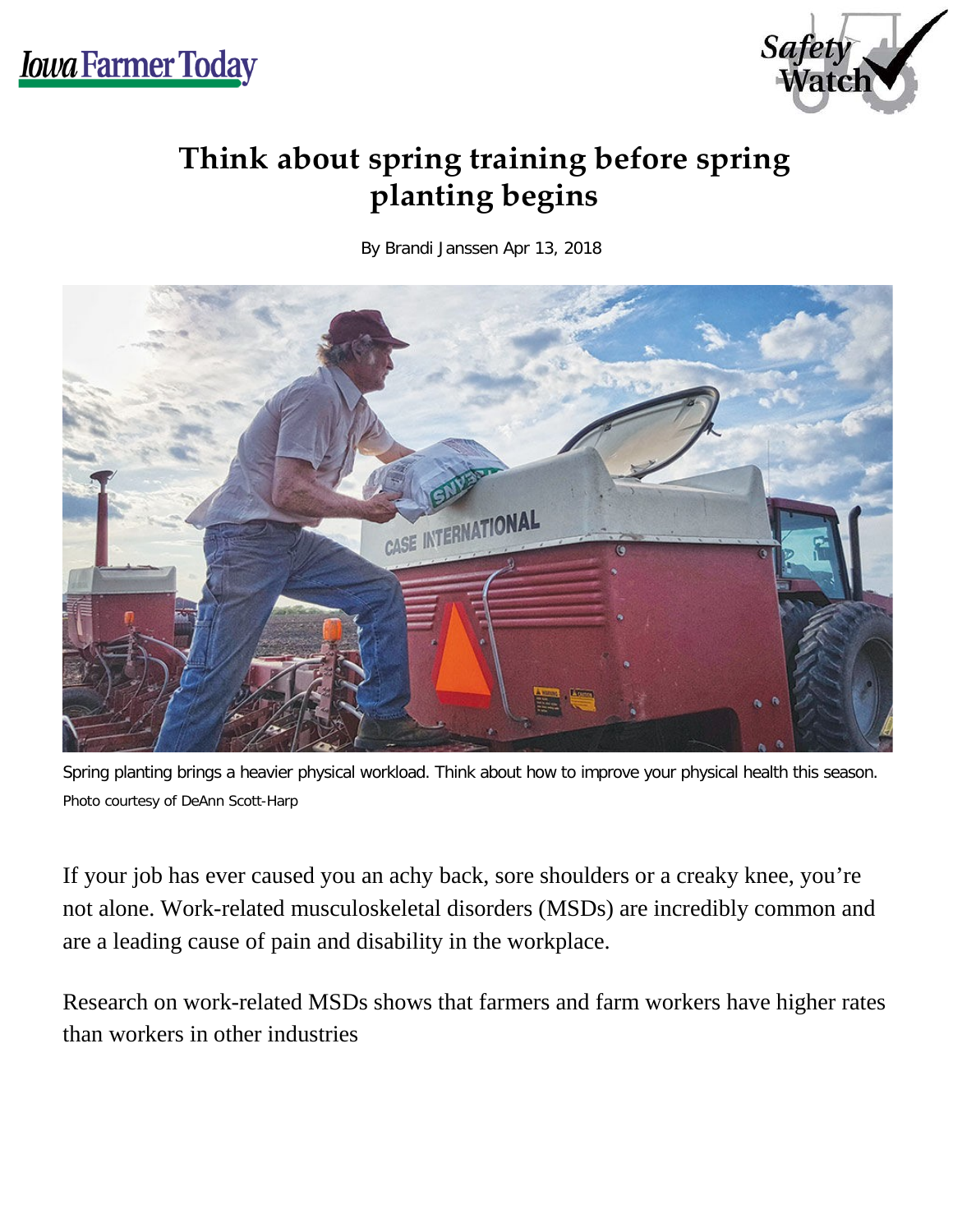

## **Think about spring training before spring planting begins**

By Brandi Janssen Apr 13, 2018



Spring planting brings a heavier physical workload. Think about how to improve your physical health this season. Photo courtesy of DeAnn Scott-Harp

If your job has ever caused you an achy back, sore shoulders or a creaky knee, you're not alone. Work-related musculoskeletal disorders (MSDs) are incredibly common and are a leading cause of pain and disability in the workplace.

Research on work-related MSDs shows that farmers and farm workers have higher rates than workers in other industries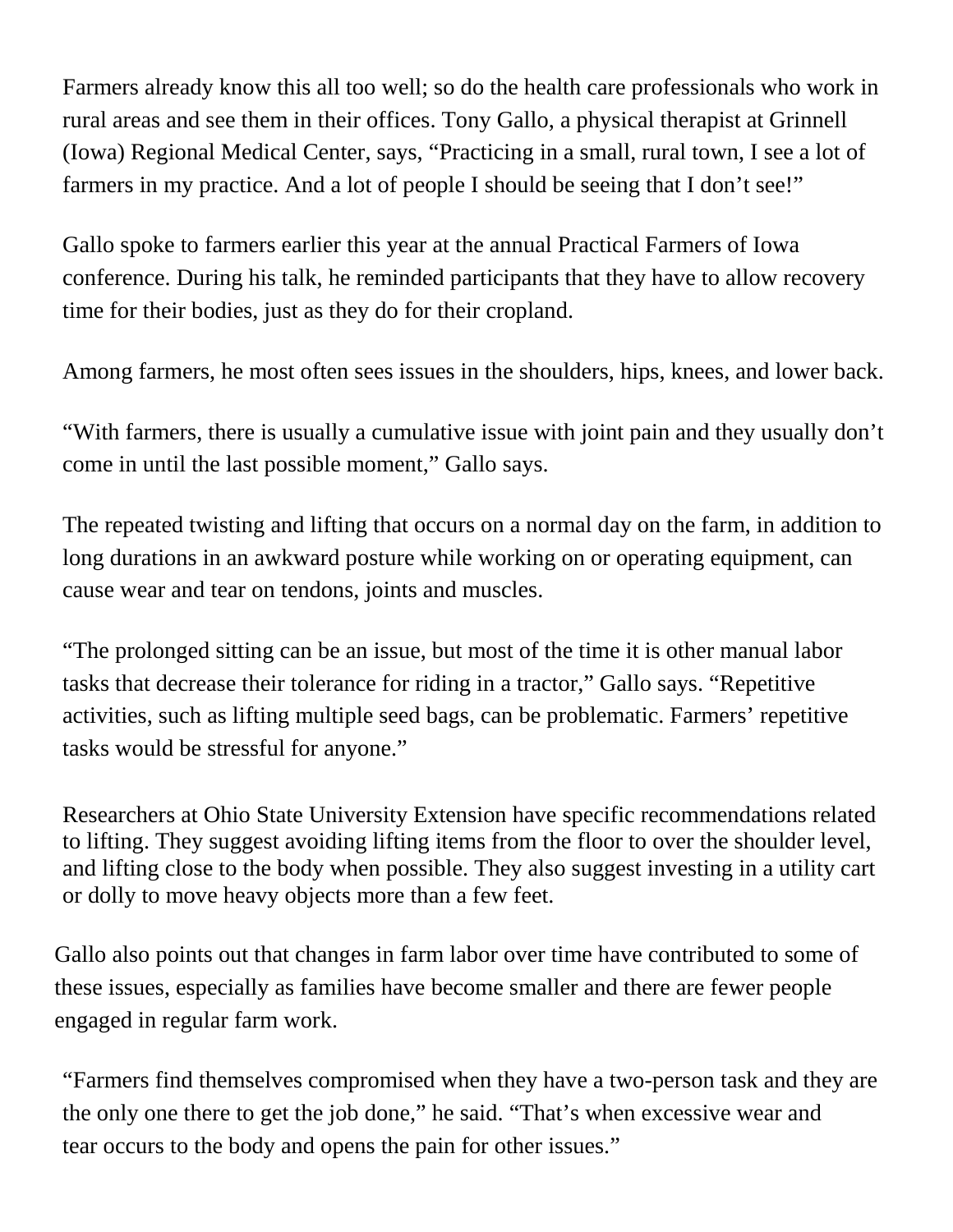Farmers already know this all too well; so do the health care professionals who work in rural areas and see them in their offices. Tony Gallo, a physical therapist at Grinnell (Iowa) Regional Medical Center, says, "Practicing in a small, rural town, I see a lot of farmers in my practice. And a lot of people I should be seeing that I don't see!"

Gallo spoke to farmers earlier this year at the annual Practical Farmers of Iowa conference. During his talk, he reminded participants that they have to allow recovery time for their bodies, just as they do for their cropland.

Among farmers, he most often sees issues in the shoulders, hips, knees, and lower back.

"With farmers, there is usually a cumulative issue with joint pain and they usually don't come in until the last possible moment," Gallo says.

The repeated twisting and lifting that occurs on a normal day on the farm, in addition to long durations in an awkward posture while working on or operating equipment, can cause wear and tear on tendons, joints and muscles.

"The prolonged sitting can be an issue, but most of the time it is other manual labor tasks that decrease their tolerance for riding in a tractor," Gallo says. "Repetitive activities, such as lifting multiple seed bags, can be problematic. Farmers' repetitive tasks would be stressful for anyone."

Researchers at Ohio State University Extension have specific recommendations related to lifting. They suggest avoiding lifting items from the floor to over the shoulder level, and lifting close to the body when possible. They also suggest investing in a utility cart or dolly to move heavy objects more than a few feet.

Gallo also points out that changes in farm labor over time have contributed to some of these issues, especially as families have become smaller and there are fewer people engaged in regular farm work.

"Farmers find themselves compromised when they have a two-person task and they are the only one there to get the job done," he said. "That's when excessive wear and tear occurs to the body and opens the pain for other issues."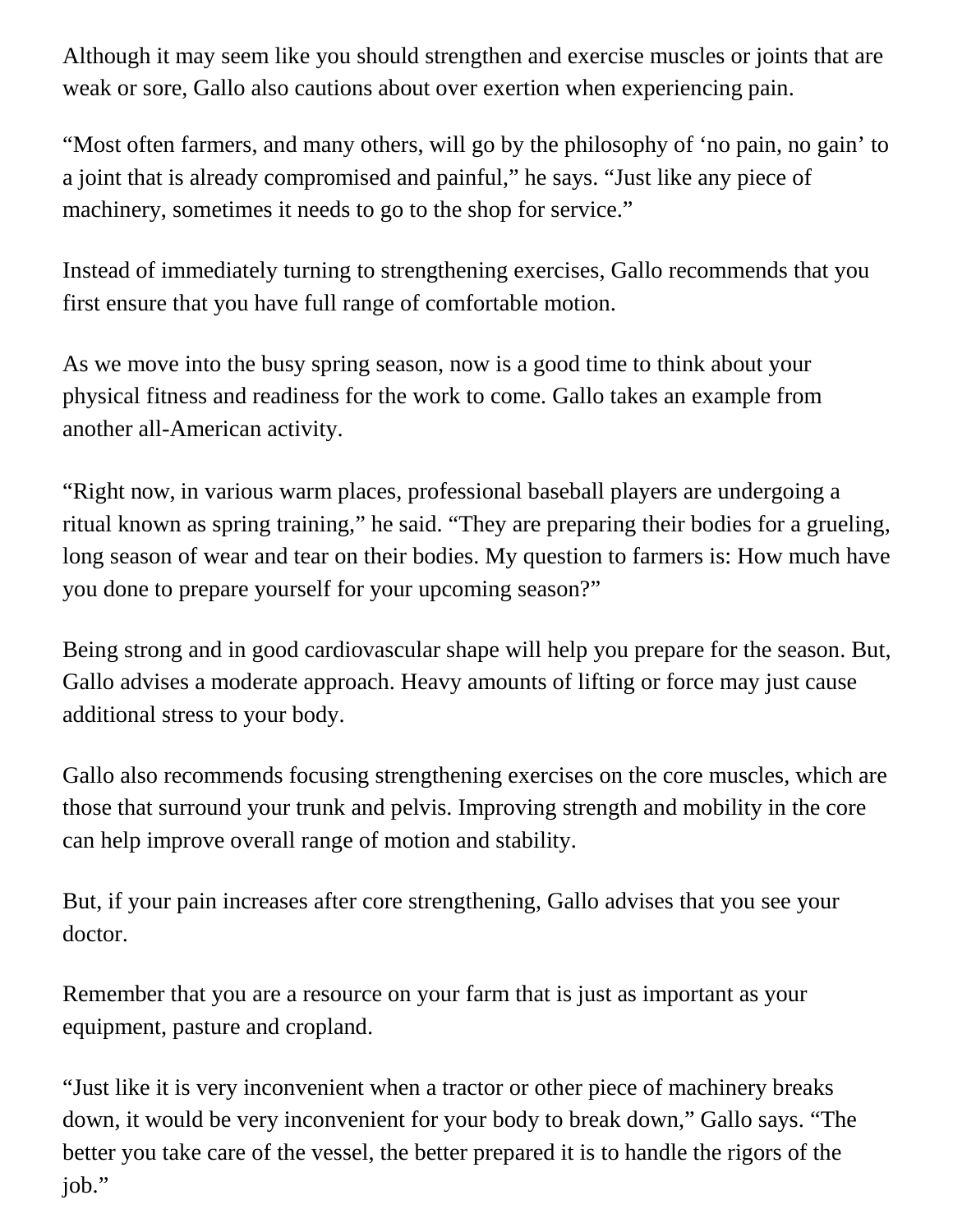Although it may seem like you should strengthen and exercise muscles or joints that are weak or sore, Gallo also cautions about over exertion when experiencing pain.

"Most often farmers, and many others, will go by the philosophy of 'no pain, no gain' to a joint that is already compromised and painful," he says. "Just like any piece of machinery, sometimes it needs to go to the shop for service."

Instead of immediately turning to strengthening exercises, Gallo recommends that you first ensure that you have full range of comfortable motion.

As we move into the busy spring season, now is a good time to think about your physical fitness and readiness for the work to come. Gallo takes an example from another all-American activity.

"Right now, in various warm places, professional baseball players are undergoing a ritual known as spring training," he said. "They are preparing their bodies for a grueling, long season of wear and tear on their bodies. My question to farmers is: How much have you done to prepare yourself for your upcoming season?"

Being strong and in good cardiovascular shape will help you prepare for the season. But, Gallo advises a moderate approach. Heavy amounts of lifting or force may just cause additional stress to your body.

Gallo also recommends focusing strengthening exercises on the core muscles, which are those that surround your trunk and pelvis. Improving strength and mobility in the core can help improve overall range of motion and stability.

But, if your pain increases after core strengthening, Gallo advises that you see your doctor.

Remember that you are a resource on your farm that is just as important as your equipment, pasture and cropland.

"Just like it is very inconvenient when a tractor or other piece of machinery breaks down, it would be very inconvenient for your body to break down," Gallo says. "The better you take care of the vessel, the better prepared it is to handle the rigors of the job."